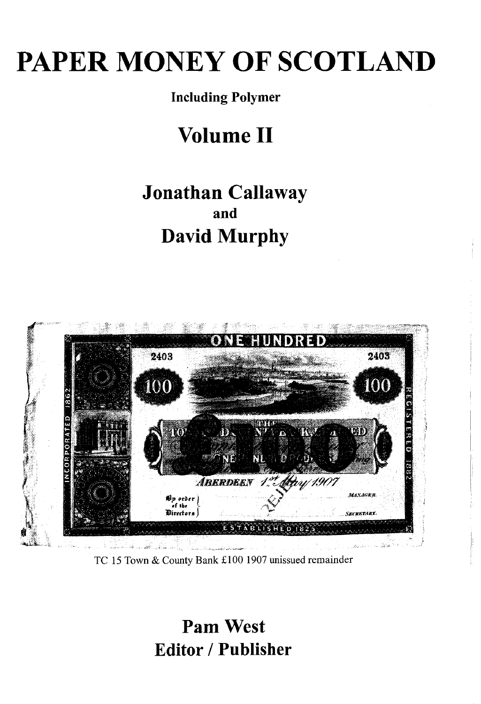# PAPER MONEY OF SCOTLAND

#### Including Polymer

## Volume II

### Jonathan Callaway and David Murphy



TC 15 Town & County Bank £100 1907 unissued remainder

Pam West Editor / Publisher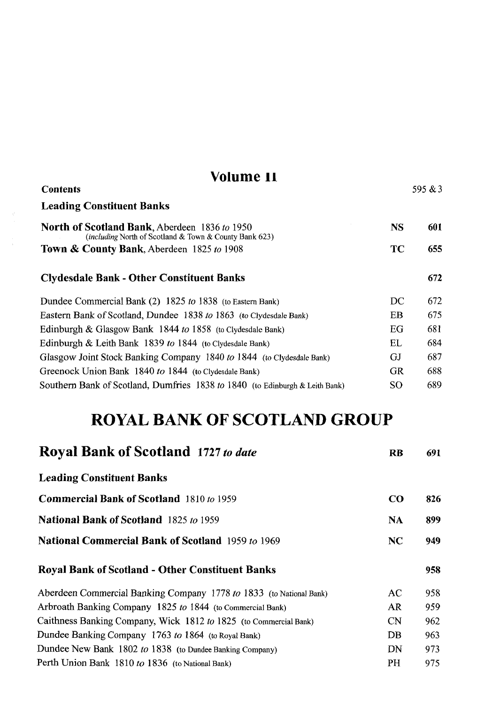| Volume 11<br><b>Contents</b>                                                                                   |           | 595 $&3$ |
|----------------------------------------------------------------------------------------------------------------|-----------|----------|
| <b>Leading Constituent Banks</b>                                                                               |           |          |
| <b>North of Scotland Bank, Aberdeen 1836 to 1950</b><br>(including North of Scotland & Town & County Bank 623) | <b>NS</b> | 601      |
| <b>Town &amp; County Bank, Aberdeen 1825 to 1908</b>                                                           | TС        | 655.     |
| <b>Clydesdale Bank - Other Constituent Banks</b>                                                               |           | 672      |
| Dundee Commercial Bank (2) 1825 to 1838 (to Eastern Bank)                                                      | DC        | 672.     |
| Eastern Bank of Scotland, Dundee 1838 to 1863 (to Clydesdale Bank)                                             | EB        | 675.     |
| Edinburgh & Glasgow Bank 1844 to 1858 (to Clydesdale Bank)                                                     | EG        | 681      |
| Edinburgh & Leith Bank 1839 to 1844 (to Clydesdale Bank)                                                       | EL        | 684      |
| Glasgow Joint Stock Banking Company 1840 to 1844 (to Clydesdale Bank)                                          | GJ        | 687      |
| Greenock Union Bank 1840 to 1844 (to Clydesdale Bank)                                                          | <b>GR</b> | 688      |
| Southern Bank of Scotland, Dumfries 1838 to 1840 (to Edinburgh & Leith Bank)                                   | SO        | 689      |

### ROYAL BANK OF SCOTLAND GROUP

| <b>Royal Bank of Scotland 1727 to date</b>                          | <b>RB</b> | 691 |
|---------------------------------------------------------------------|-----------|-----|
| <b>Leading Constituent Banks</b>                                    |           |     |
| <b>Commercial Bank of Scotland</b> 1810 to 1959                     | $\bf CO$  | 826 |
| <b>National Bank of Scotland</b> 1825 to 1959                       | <b>NA</b> | 899 |
| <b>National Commercial Bank of Scotland</b> 1959 to 1969            | NC        | 949 |
| <b>Royal Bank of Scotland - Other Constituent Banks</b>             |           | 958 |
| Aberdeen Commercial Banking Company 1778 to 1833 (to National Bank) | AС        | 958 |
| Arbroath Banking Company 1825 to 1844 (to Commercial Bank)          | AR.       | 959 |
| Caithness Banking Company, Wick 1812 to 1825 (to Commercial Bank)   | <b>CN</b> | 962 |
| Dundee Banking Company 1763 to 1864 (to Royal Bank)                 | DB        | 963 |
| Dundee New Bank 1802 to 1838 (to Dundee Banking Company)            | DN        | 973 |
| Perth Union Bank 1810 to 1836 (to National Bank)                    | <b>PH</b> | 975 |
|                                                                     |           |     |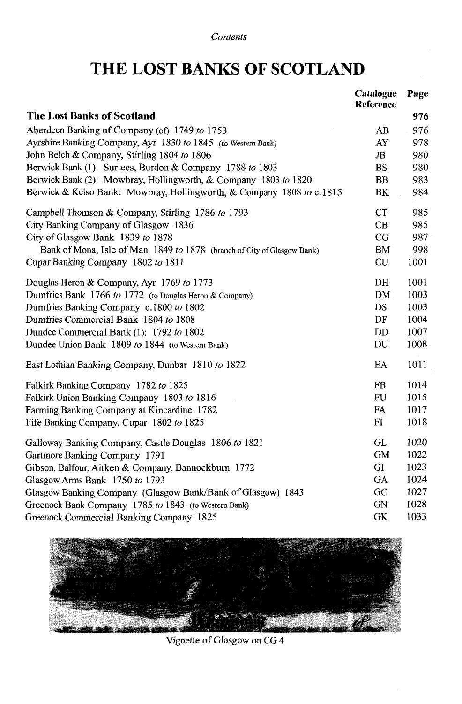### THE LOST BANKS OF SCOTLAND

|                                                                         | Catalogue<br><b>Reference</b> | Page |
|-------------------------------------------------------------------------|-------------------------------|------|
| <b>The Lost Banks of Scotland</b>                                       |                               | 976  |
| Aberdeen Banking of Company (of) 1749 to 1753                           | AB                            | 976  |
| Ayrshire Banking Company, Ayr 1830 to 1845 (to Western Bank)            | AY                            | 978  |
| John Belch & Company, Stirling 1804 to 1806                             | $_{\rm JB}$                   | 980  |
| Berwick Bank (1): Surtees, Burdon & Company 1788 to 1803                | <b>BS</b>                     | 980  |
| Berwick Bank (2): Mowbray, Hollingworth, & Company 1803 to 1820         | BB                            | 983  |
| Berwick & Kelso Bank: Mowbray, Hollingworth, & Company 1808 to c.1815   | BK                            | 984  |
| Campbell Thomson & Company, Stirling 1786 to 1793                       | <b>CT</b>                     | 985  |
| City Banking Company of Glasgow 1836                                    | CB                            | 985  |
| City of Glasgow Bank 1839 to 1878                                       | CG                            | 987  |
| Bank of Mona, Isle of Man 1849 to 1878 (branch of City of Glasgow Bank) | BM                            | 998  |
| Cupar Banking Company 1802 to 1811                                      | CU                            | 1001 |
| Douglas Heron & Company, Ayr 1769 to 1773                               | DH                            | 1001 |
| Dumfries Bank 1766 to 1772 (to Douglas Heron & Company)                 | <b>DM</b>                     | 1003 |
| Dumfries Banking Company c.1800 to 1802                                 | <b>DS</b>                     | 1003 |
| Dumfries Commercial Bank 1804 to 1808                                   | DF                            | 1004 |
| Dundee Commercial Bank (1): 1792 to 1802                                | DD                            | 1007 |
| Dundee Union Bank 1809 to 1844 (to Western Bank)                        | DU                            | 1008 |
| East Lothian Banking Company, Dunbar 1810 to 1822                       | EA                            | 1011 |
| Falkirk Banking Company 1782 to 1825                                    | <b>FB</b>                     | 1014 |
| Falkirk Union Banking Company 1803 to 1816                              | <b>FU</b>                     | 1015 |
| Farming Banking Company at Kincardine 1782                              | FA                            | 1017 |
| Fife Banking Company, Cupar 1802 to 1825                                | FI                            | 1018 |
| Galloway Banking Company, Castle Douglas 1806 to 1821                   | GL                            | 1020 |
| Gartmore Banking Company 1791                                           | <b>GM</b>                     | 1022 |
| Gibson, Balfour, Aitken & Company, Bannockburn 1772                     | GI                            | 1023 |
| Glasgow Arms Bank 1750 to 1793                                          | GA                            | 1024 |
| Glasgow Banking Company (Glasgow Bank/Bank of Glasgow) 1843             | GC                            | 1027 |
| Greenock Bank Company 1785 to 1843 (to Western Bank)                    | <b>GN</b>                     | 1028 |
| Greenock Commercial Banking Company 1825                                | <b>GK</b>                     | 1033 |



Vignette of Glasgow on CG 4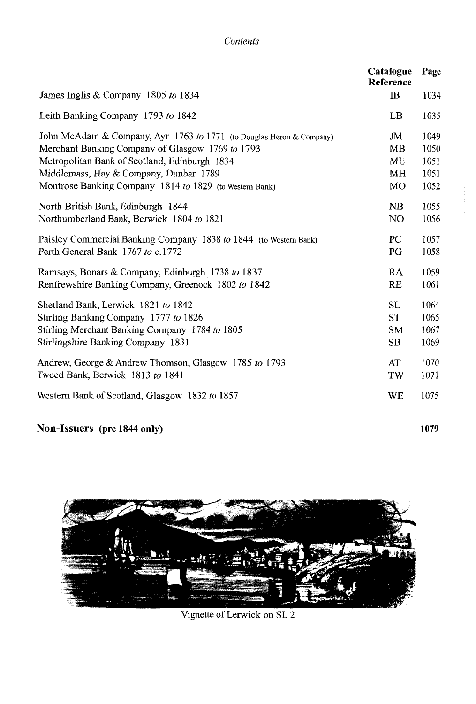#### *Contents*

|                                                                      | Catalogue<br>Reference | Page |
|----------------------------------------------------------------------|------------------------|------|
| James Inglis & Company 1805 to 1834                                  | IB                     | 1034 |
| Leith Banking Company 1793 to 1842                                   | LB                     | 1035 |
| John McAdam & Company, Ayr 1763 to 1771 (to Douglas Heron & Company) | JM                     | 1049 |
| Merchant Banking Company of Glasgow 1769 to 1793                     | MB                     | 1050 |
| Metropolitan Bank of Scotland, Edinburgh 1834                        | ME                     | 1051 |
| Middlemass, Hay & Company, Dunbar 1789                               | MH                     | 1051 |
| Montrose Banking Company 1814 to 1829 (to Western Bank)              | MO                     | 1052 |
| North British Bank, Edinburgh 1844                                   | NB                     | 1055 |
| Northumberland Bank, Berwick 1804 to 1821                            | N <sub>O</sub>         | 1056 |
| Paisley Commercial Banking Company 1838 to 1844 (to Western Bank)    | PC                     | 1057 |
| Perth General Bank 1767 to c.1772                                    | PG                     | 1058 |
| Ramsays, Bonars & Company, Edinburgh 1738 to 1837                    | RA                     | 1059 |
| Renfrewshire Banking Company, Greenock 1802 to 1842                  | RE                     | 1061 |
| Shetland Bank, Lerwick 1821 to 1842                                  | <b>SL</b>              | 1064 |
| Stirling Banking Company 1777 to 1826                                | <b>ST</b>              | 1065 |
| Stirling Merchant Banking Company 1784 to 1805                       | <b>SM</b>              | 1067 |
| Stirlingshire Banking Company 1831                                   | <b>SB</b>              | 1069 |
| Andrew, George & Andrew Thomson, Glasgow 1785 to 1793                | AT                     | 1070 |
| Tweed Bank, Berwick 1813 to 1841                                     | TW                     | 1071 |
| Western Bank of Scotland, Glasgow 1832 to 1857                       | WE                     | 1075 |
|                                                                      |                        |      |

#### Non-Issuers (pre 1844 only) 1079



Vignette of Lerwick on SL 2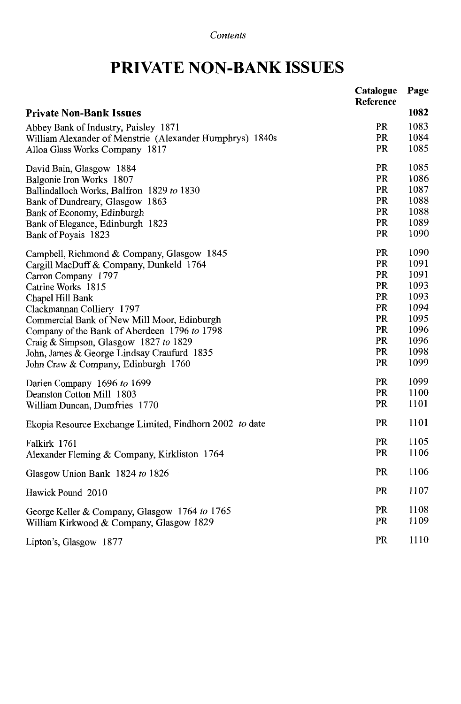### PRIVATE NON-BANK ISSUES

|                                                          | Catalogue<br>Reference | Page |
|----------------------------------------------------------|------------------------|------|
| <b>Private Non-Bank Issues</b>                           |                        | 1082 |
| Abbey Bank of Industry, Paisley 1871                     | PR                     | 1083 |
| William Alexander of Menstrie (Alexander Humphrys) 1840s | PR                     | 1084 |
| Alloa Glass Works Company 1817                           | <b>PR</b>              | 1085 |
| David Bain, Glasgow 1884                                 | PR                     | 1085 |
| Balgonie Iron Works 1807                                 | PR                     | 1086 |
| Ballindalloch Works, Balfron 1829 to 1830                | <b>PR</b>              | 1087 |
| Bank of Dundreary, Glasgow 1863                          | PR                     | 1088 |
| Bank of Economy, Edinburgh                               | <b>PR</b>              | 1088 |
| Bank of Elegance, Edinburgh 1823                         | <b>PR</b>              | 1089 |
| Bank of Poyais 1823                                      | <b>PR</b>              | 1090 |
| Campbell, Richmond & Company, Glasgow 1845               | PR                     | 1090 |
| Cargill MacDuff & Company, Dunkeld 1764                  | PR                     | 1091 |
| Carron Company 1797                                      | PR                     | 1091 |
| Catrine Works 1815                                       | PR                     | 1093 |
| Chapel Hill Bank                                         | PR                     | 1093 |
| Clackmannan Colliery 1797                                | PR                     | 1094 |
| Commercial Bank of New Mill Moor, Edinburgh              | PR                     | 1095 |
| Company of the Bank of Aberdeen 1796 to 1798             | PR                     | 1096 |
| Craig & Simpson, Glasgow 1827 to 1829                    | PR                     | 1096 |
| John, James & George Lindsay Craufurd 1835               | <b>PR</b>              | 1098 |
| John Craw & Company, Edinburgh 1760                      | <b>PR</b>              | 1099 |
| Darien Company 1696 to 1699                              | PR                     | 1099 |
| Deanston Cotton Mill 1803                                | PR                     | 1100 |
| William Duncan, Dumfries 1770                            | PR                     | 1101 |
| Ekopia Resource Exchange Limited, Findhorn 2002 to date  | PR                     | 1101 |
| Falkirk 1761                                             | PR                     | 1105 |
| Alexander Fleming & Company, Kirkliston 1764             | PR                     | 1106 |
| Glasgow Union Bank 1824 to 1826                          | PR                     | 1106 |
| Hawick Pound 2010                                        | PR                     | 1107 |
| George Keller & Company, Glasgow 1764 to 1765            | PR                     | 1108 |
| William Kirkwood & Company, Glasgow 1829                 | PR                     | 1109 |
| Lipton's, Glasgow 1877                                   | PR                     | 1110 |